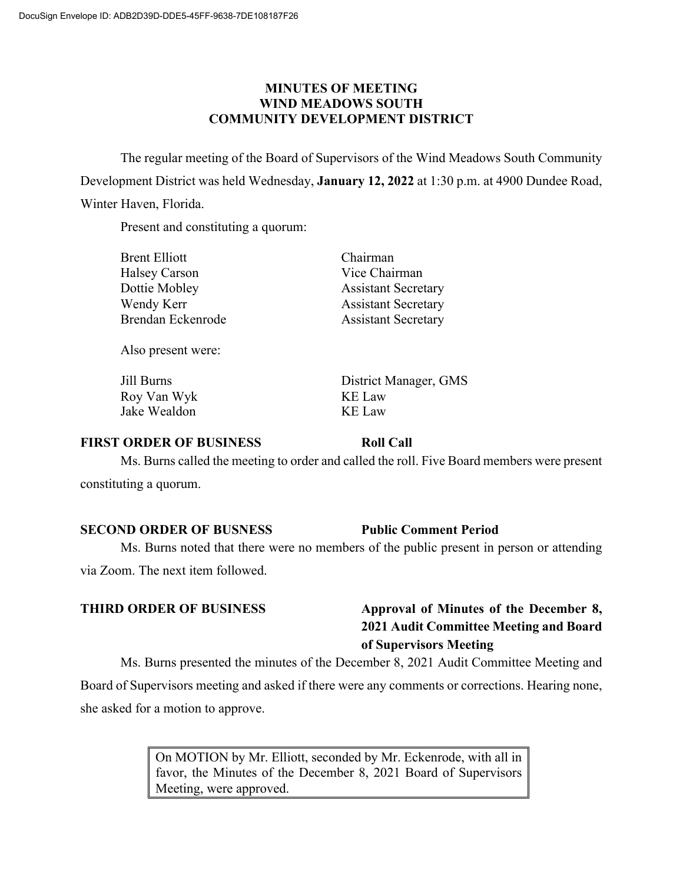### **MINUTES OF MEETING WIND MEADOWS SOUTH COMMUNITY DEVELOPMENT DISTRICT**

The regular meeting of the Board of Supervisors of the Wind Meadows South Community Development District was held Wednesday, **January 12, 2022** at 1:30 p.m. at 4900 Dundee Road, Winter Haven, Florida.

Present and constituting a quorum:

| Brent Elliott     | Chairman                   |
|-------------------|----------------------------|
| Halsey Carson     | Vice Chairman              |
| Dottie Mobley     | <b>Assistant Secretary</b> |
| Wendy Kerr        | <b>Assistant Secretary</b> |
| Brendan Eckenrode | <b>Assistant Secretary</b> |
|                   |                            |

Also present were:

| Jill Burns   |  |
|--------------|--|
| Roy Van Wyk  |  |
| Jake Wealdon |  |

District Manager, GMS KE Law KE Law

### **FIRST ORDER OF BUSINESS Roll Call**

Ms. Burns called the meeting to order and called the roll. Five Board members were present constituting a quorum.

### **SECOND ORDER OF BUSNESS Public Comment Period**

Ms. Burns noted that there were no members of the public present in person or attending

via Zoom. The next item followed.

# **THIRD ORDER OF BUSINESS Approval of Minutes of the December 8, 2021 Audit Committee Meeting and Board of Supervisors Meeting**

Ms. Burns presented the minutes of the December 8, 2021 Audit Committee Meeting and Board of Supervisors meeting and asked if there were any comments or corrections. Hearing none, she asked for a motion to approve.

> On MOTION by Mr. Elliott, seconded by Mr. Eckenrode, with all in favor, the Minutes of the December 8, 2021 Board of Supervisors Meeting, were approved.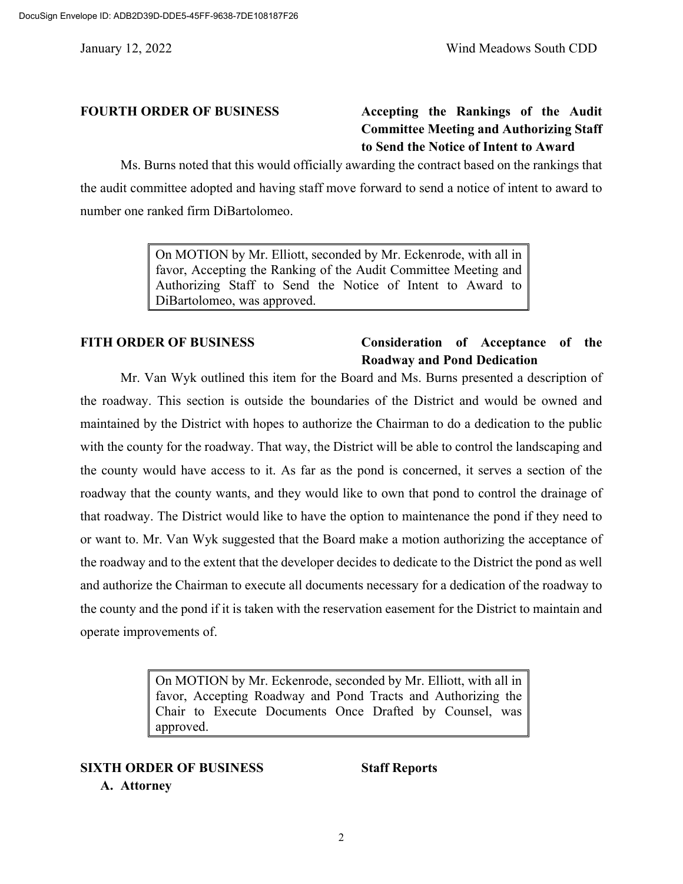# **FOURTH ORDER OF BUSINESS Accepting the Rankings of the Audit Committee Meeting and Authorizing Staff to Send the Notice of Intent to Award**

Ms. Burns noted that this would officially awarding the contract based on the rankings that the audit committee adopted and having staff move forward to send a notice of intent to award to number one ranked firm DiBartolomeo.

> On MOTION by Mr. Elliott, seconded by Mr. Eckenrode, with all in favor, Accepting the Ranking of the Audit Committee Meeting and Authorizing Staff to Send the Notice of Intent to Award to DiBartolomeo, was approved.

### **FITH ORDER OF BUSINESS Consideration of Acceptance of the Roadway and Pond Dedication**

Mr. Van Wyk outlined this item for the Board and Ms. Burns presented a description of the roadway. This section is outside the boundaries of the District and would be owned and maintained by the District with hopes to authorize the Chairman to do a dedication to the public with the county for the roadway. That way, the District will be able to control the landscaping and the county would have access to it. As far as the pond is concerned, it serves a section of the roadway that the county wants, and they would like to own that pond to control the drainage of that roadway. The District would like to have the option to maintenance the pond if they need to or want to. Mr. Van Wyk suggested that the Board make a motion authorizing the acceptance of the roadway and to the extent that the developer decides to dedicate to the District the pond as well and authorize the Chairman to execute all documents necessary for a dedication of the roadway to the county and the pond if it is taken with the reservation easement for the District to maintain and operate improvements of.

> On MOTION by Mr. Eckenrode, seconded by Mr. Elliott, with all in favor, Accepting Roadway and Pond Tracts and Authorizing the Chair to Execute Documents Once Drafted by Counsel, was approved.

# **SIXTH ORDER OF BUSINESS Staff Reports**

### **A. Attorney**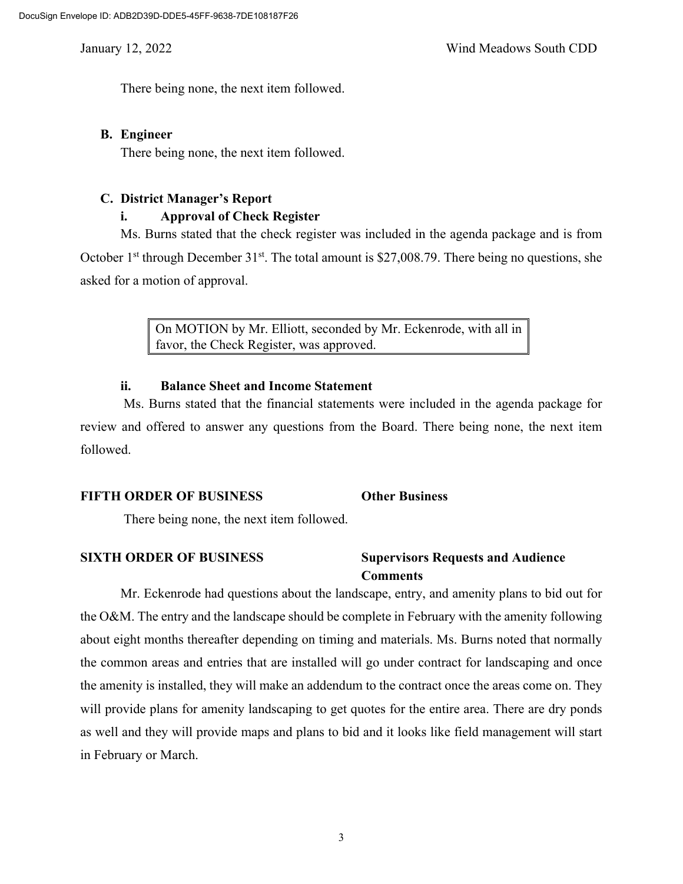There being none, the next item followed.

### **B. Engineer**

There being none, the next item followed.

### **C. District Manager's Report**

### **i. Approval of Check Register**

Ms. Burns stated that the check register was included in the agenda package and is from October 1<sup>st</sup> through December 31<sup>st</sup>. The total amount is \$27,008.79. There being no questions, she asked for a motion of approval.

> On MOTION by Mr. Elliott, seconded by Mr. Eckenrode, with all in favor, the Check Register, was approved.

### **ii. Balance Sheet and Income Statement**

Ms. Burns stated that the financial statements were included in the agenda package for review and offered to answer any questions from the Board. There being none, the next item followed.

### **FIFTH ORDER OF BUSINESS Other Business**

There being none, the next item followed.

### **SIXTH ORDER OF BUSINESS Supervisors Requests and Audience Comments**

Mr. Eckenrode had questions about the landscape, entry, and amenity plans to bid out for the O&M. The entry and the landscape should be complete in February with the amenity following about eight months thereafter depending on timing and materials. Ms. Burns noted that normally the common areas and entries that are installed will go under contract for landscaping and once the amenity is installed, they will make an addendum to the contract once the areas come on. They will provide plans for amenity landscaping to get quotes for the entire area. There are dry ponds as well and they will provide maps and plans to bid and it looks like field management will start in February or March.